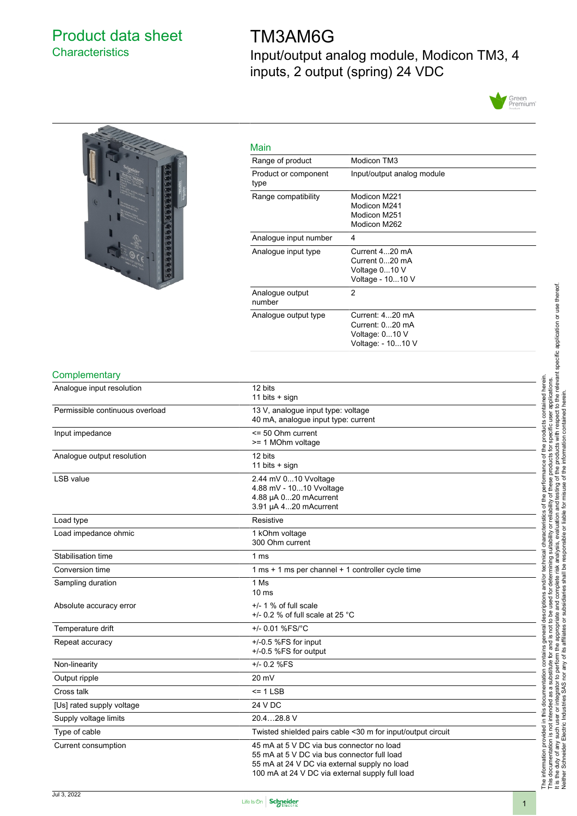### <span id="page-0-0"></span>Product data sheet **Characteristics**

# TM3AM6G

Input/output analog module, Modicon TM3, 4 inputs, 2 output (spring) 24 VDC





| Main                         |                                                                           |
|------------------------------|---------------------------------------------------------------------------|
| Range of product             | Modicon TM3                                                               |
| Product or component<br>type | Input/output analog module                                                |
| Range compatibility          | Modicon M221<br>Modicon M241<br>Modicon M251<br>Modicon M262              |
| Analogue input number        | 4                                                                         |
| Analogue input type          | Current 420 mA<br>Current 020 mA<br>Voltage 010 V<br>Voltage - 1010 V     |
| Analogue output<br>number    | 2                                                                         |
| Analogue output type         | Current: 420 mA<br>Current: 020 mA<br>Voltage: 010 V<br>Voltage: - 1010 V |

#### **Complementary**

| Analogue input resolution       | 12 bits<br>11 bits $+$ sign                                                                                                                                                                 |  |
|---------------------------------|---------------------------------------------------------------------------------------------------------------------------------------------------------------------------------------------|--|
| Permissible continuous overload | 13 V, analogue input type: voltage<br>40 mA, analogue input type: current                                                                                                                   |  |
| Input impedance                 | $\leq$ 50 Ohm current<br>>= 1 MOhm voltage                                                                                                                                                  |  |
| Analogue output resolution      | 12 bits<br>11 bits $+$ sign                                                                                                                                                                 |  |
| <b>LSB</b> value                | 2.44 mV 010 Vvoltage<br>4.88 mV - 1010 Vvoltage<br>4.88 µA 020 mAcurrent<br>3.91 µA 420 mAcurrent                                                                                           |  |
| Load type                       | Resistive                                                                                                                                                                                   |  |
| Load impedance ohmic            | 1 kOhm voltage<br>300 Ohm current                                                                                                                                                           |  |
| Stabilisation time              | 1 <sub>ms</sub>                                                                                                                                                                             |  |
| Conversion time                 | 1 ms + 1 ms per channel + 1 controller cycle time                                                                                                                                           |  |
| Sampling duration               | 1 Ms<br>$10 \text{ ms}$                                                                                                                                                                     |  |
| Absolute accuracy error         | $+/- 1$ % of full scale<br>$+/-$ 0.2 % of full scale at 25 °C                                                                                                                               |  |
| Temperature drift               | +/- 0.01 %FS/°C                                                                                                                                                                             |  |
| Repeat accuracy                 | $+/-0.5$ %FS for input<br>+/-0.5 %FS for output                                                                                                                                             |  |
| Non-linearity                   | +/- 0.2 %FS                                                                                                                                                                                 |  |
| Output ripple                   | $20 \text{ mV}$                                                                                                                                                                             |  |
| Cross talk                      | $= 1$ LSB                                                                                                                                                                                   |  |
| [Us] rated supply voltage       | 24 V DC                                                                                                                                                                                     |  |
| Supply voltage limits           | 20.428.8 V                                                                                                                                                                                  |  |
| Type of cable                   | Twisted shielded pairs cable <30 m for input/output circuit                                                                                                                                 |  |
| Current consumption             | 45 mA at 5 V DC via bus connector no load<br>55 mA at 5 V DC via bus connector full load<br>55 mA at 24 V DC via external supply no load<br>100 mA at 24 V DC via external supply full load |  |

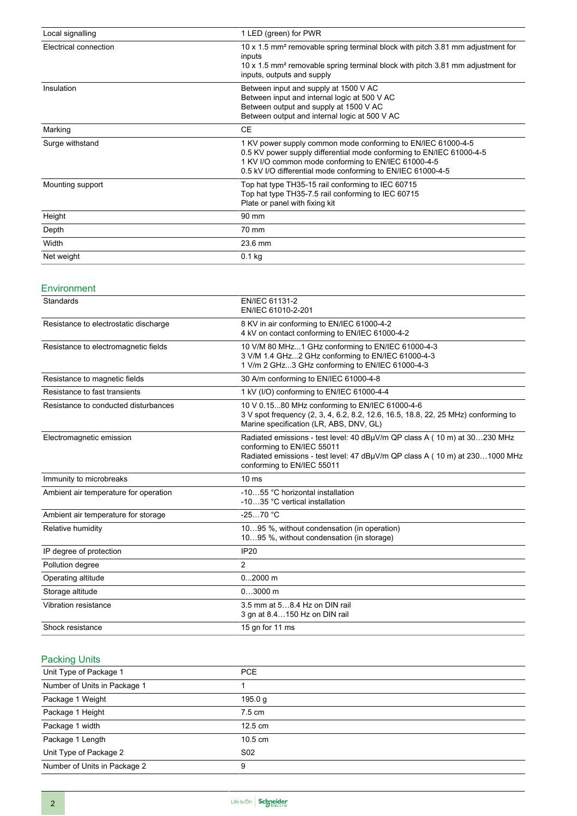| Local signalling      | 1 LED (green) for PWR                                                                                                                                                                                                                                      |
|-----------------------|------------------------------------------------------------------------------------------------------------------------------------------------------------------------------------------------------------------------------------------------------------|
| Electrical connection | 10 x 1.5 mm <sup>2</sup> removable spring terminal block with pitch 3.81 mm adjustment for<br>inputs<br>10 x 1.5 mm <sup>2</sup> removable spring terminal block with pitch 3.81 mm adjustment for<br>inputs, outputs and supply                           |
| Insulation            | Between input and supply at 1500 V AC<br>Between input and internal logic at 500 V AC<br>Between output and supply at 1500 V AC<br>Between output and internal logic at 500 V AC                                                                           |
| Marking               | <b>CE</b>                                                                                                                                                                                                                                                  |
| Surge withstand       | 1 KV power supply common mode conforming to EN/IEC 61000-4-5<br>0.5 KV power supply differential mode conforming to EN/IEC 61000-4-5<br>1 KV I/O common mode conforming to EN/IEC 61000-4-5<br>0.5 kV I/O differential mode conforming to EN/IEC 61000-4-5 |
| Mounting support      | Top hat type TH35-15 rail conforming to IEC 60715<br>Top hat type TH35-7.5 rail conforming to IEC 60715<br>Plate or panel with fixing kit                                                                                                                  |
| Height                | 90 mm                                                                                                                                                                                                                                                      |
| Depth                 | 70 mm                                                                                                                                                                                                                                                      |
| Width                 | 23.6 mm                                                                                                                                                                                                                                                    |
| Net weight            | $0.1$ kg                                                                                                                                                                                                                                                   |

### Environment

| Standards                             | EN/IEC 61131-2<br>EN/IEC 61010-2-201                                                                                                                                                                                 |
|---------------------------------------|----------------------------------------------------------------------------------------------------------------------------------------------------------------------------------------------------------------------|
| Resistance to electrostatic discharge | 8 KV in air conforming to EN/IEC 61000-4-2<br>4 kV on contact conforming to EN/IEC 61000-4-2                                                                                                                         |
| Resistance to electromagnetic fields  | 10 V/M 80 MHz1 GHz conforming to EN/IEC 61000-4-3<br>3 V/M 1.4 GHz2 GHz conforming to EN/IEC 61000-4-3<br>1 V/m 2 GHz3 GHz conforming to EN/IEC 61000-4-3                                                            |
| Resistance to magnetic fields         | 30 A/m conforming to EN/IEC 61000-4-8                                                                                                                                                                                |
| Resistance to fast transients         | 1 kV (I/O) conforming to EN/IEC 61000-4-4                                                                                                                                                                            |
| Resistance to conducted disturbances  | 10 V 0.1580 MHz conforming to EN/IEC 61000-4-6<br>3 V spot frequency (2, 3, 4, 6.2, 8.2, 12.6, 16.5, 18.8, 22, 25 MHz) conforming to<br>Marine specification (LR, ABS, DNV, GL)                                      |
| Electromagnetic emission              | Radiated emissions - test level: 40 dBµV/m QP class A (10 m) at 30230 MHz<br>conforming to EN/IEC 55011<br>Radiated emissions - test level: 47 dBµV/m QP class A (10 m) at 2301000 MHz<br>conforming to EN/IEC 55011 |
| Immunity to microbreaks               | 10 <sub>ms</sub>                                                                                                                                                                                                     |
| Ambient air temperature for operation | -1055 °C horizontal installation<br>-1035 °C vertical installation                                                                                                                                                   |
| Ambient air temperature for storage   | $-2570 °C$                                                                                                                                                                                                           |
| Relative humidity                     | 1095 %, without condensation (in operation)<br>1095 %, without condensation (in storage)                                                                                                                             |
| IP degree of protection               | <b>IP20</b>                                                                                                                                                                                                          |
| Pollution degree                      | $\overline{2}$                                                                                                                                                                                                       |
| Operating altitude                    | $02000$ m                                                                                                                                                                                                            |
| Storage altitude                      | $03000$ m                                                                                                                                                                                                            |
| Vibration resistance                  | 3.5 mm at 58.4 Hz on DIN rail<br>3 gn at 8.4150 Hz on DIN rail                                                                                                                                                       |
| Shock resistance                      | 15 gn for 11 ms                                                                                                                                                                                                      |

### Packing Units

| Unit Type of Package 1       | <b>PCE</b>        |  |
|------------------------------|-------------------|--|
| Number of Units in Package 1 |                   |  |
| Package 1 Weight             | 195.0 $q$         |  |
| Package 1 Height             | $7.5 \text{ cm}$  |  |
| Package 1 width              | 12.5 cm           |  |
| Package 1 Length             | $10.5 \text{ cm}$ |  |
| Unit Type of Package 2       | S <sub>02</sub>   |  |
| Number of Units in Package 2 | 9                 |  |
|                              |                   |  |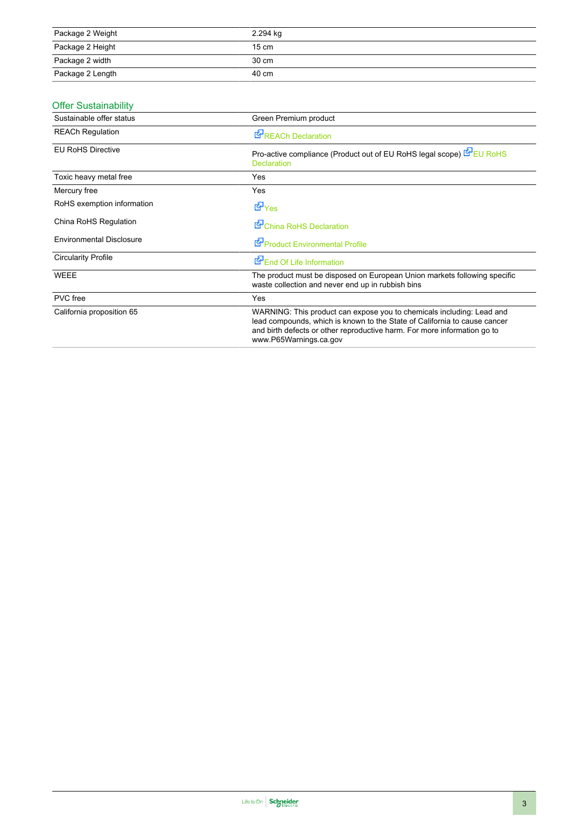| Package 2 Weight | 2.294 kg        |
|------------------|-----------------|
| Package 2 Height | $15 \text{ cm}$ |
| Package 2 width  | 30 cm           |
| Package 2 Length | 40 cm           |

### Offer Sustainability

| Sustainable offer status        | Green Premium product                                                                                                                                                                                                                                    |
|---------------------------------|----------------------------------------------------------------------------------------------------------------------------------------------------------------------------------------------------------------------------------------------------------|
| <b>REACh Regulation</b>         | <b>E</b> <sup>P</sup> REACh Declaration                                                                                                                                                                                                                  |
| <b>EU RoHS Directive</b>        | Pro-active compliance (Product out of EU RoHS legal scope) EU RoHS<br><b>Declaration</b>                                                                                                                                                                 |
| Toxic heavy metal free          | <b>Yes</b>                                                                                                                                                                                                                                               |
| Mercury free                    | Yes                                                                                                                                                                                                                                                      |
| RoHS exemption information      | <b>E</b> Yes                                                                                                                                                                                                                                             |
| China RoHS Regulation           | China RoHS Declaration                                                                                                                                                                                                                                   |
| <b>Environmental Disclosure</b> | Product Environmental Profile                                                                                                                                                                                                                            |
| <b>Circularity Profile</b>      | End Of Life Information                                                                                                                                                                                                                                  |
| <b>WEEE</b>                     | The product must be disposed on European Union markets following specific<br>waste collection and never end up in rubbish bins                                                                                                                           |
| PVC free                        | Yes                                                                                                                                                                                                                                                      |
| California proposition 65       | WARNING: This product can expose you to chemicals including: Lead and<br>lead compounds, which is known to the State of California to cause cancer<br>and birth defects or other reproductive harm. For more information go to<br>www.P65Warnings.ca.gov |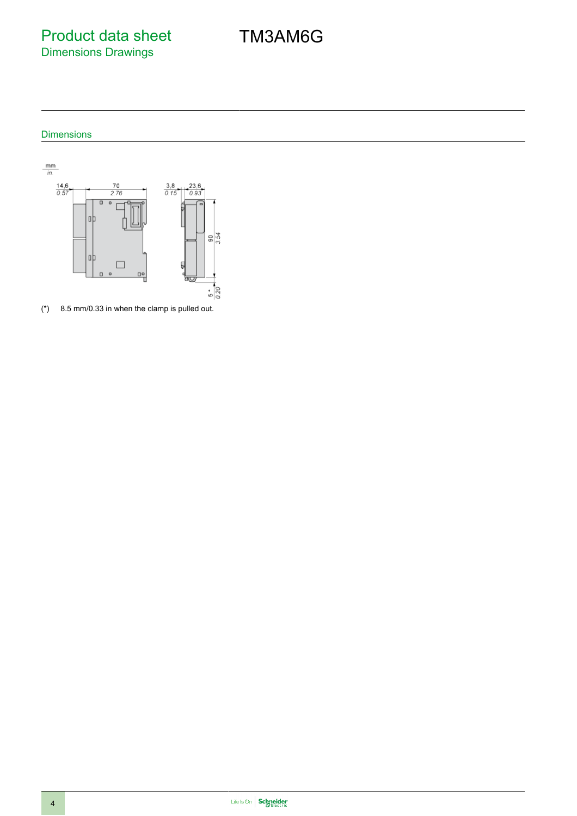Product data sheet Dimensions Drawings

### Dimensions



(\*) 8.5 mm/0.33 in when the clamp is pulled out.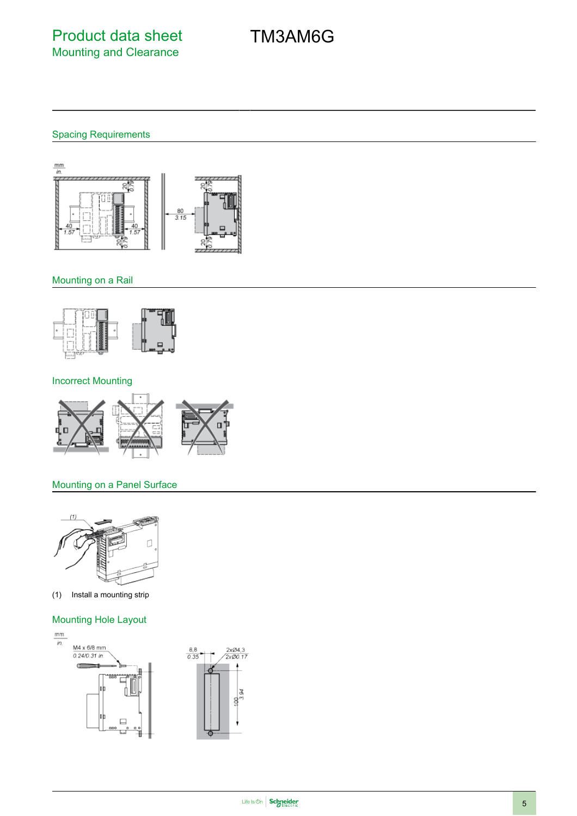## Spacing Requirements



### Mounting on a Rail



#### Incorrect Mounting



### Mounting on a Panel Surface



(1) Install a mounting strip

### Mounting Hole Layout